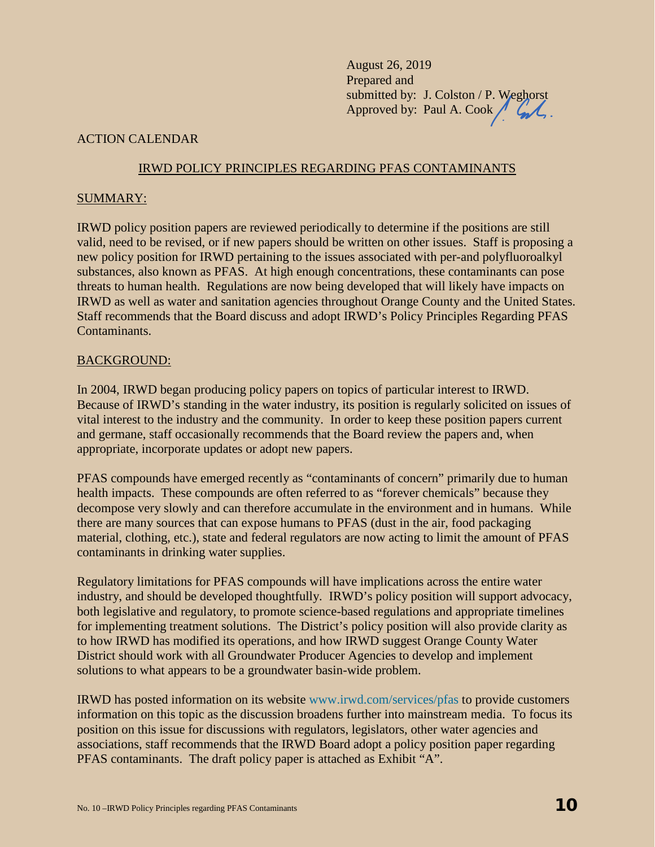August 26, 2019 Prepared and submitted by: J. Colston / P. Weghorst Approved by: Paul A. Cook  $\bigwedge$ 

### ACTION CALENDAR

#### IRWD POLICY PRINCIPLES REGARDING PFAS CONTAMINANTS

#### SUMMARY:

IRWD policy position papers are reviewed periodically to determine if the positions are still valid, need to be revised, or if new papers should be written on other issues. Staff is proposing a new policy position for IRWD pertaining to the issues associated with per-and polyfluoroalkyl substances, also known as PFAS. At high enough concentrations, these contaminants can pose threats to human health. Regulations are now being developed that will likely have impacts on IRWD as well as water and sanitation agencies throughout Orange County and the United States. Staff recommends that the Board discuss and adopt IRWD's Policy Principles Regarding PFAS Contaminants.

#### BACKGROUND:

In 2004, IRWD began producing policy papers on topics of particular interest to IRWD. Because of IRWD's standing in the water industry, its position is regularly solicited on issues of vital interest to the industry and the community. In order to keep these position papers current and germane, staff occasionally recommends that the Board review the papers and, when appropriate, incorporate updates or adopt new papers.

PFAS compounds have emerged recently as "contaminants of concern" primarily due to human health impacts. These compounds are often referred to as "forever chemicals" because they decompose very slowly and can therefore accumulate in the environment and in humans. While there are many sources that can expose humans to PFAS (dust in the air, food packaging material, clothing, etc.), state and federal regulators are now acting to limit the amount of PFAS contaminants in drinking water supplies.

Regulatory limitations for PFAS compounds will have implications across the entire water industry, and should be developed thoughtfully. IRWD's policy position will support advocacy, both legislative and regulatory, to promote science-based regulations and appropriate timelines for implementing treatment solutions. The District's policy position will also provide clarity as to how IRWD has modified its operations, and how IRWD suggest Orange County Water District should work with all Groundwater Producer Agencies to develop and implement solutions to what appears to be a groundwater basin-wide problem.

IRWD has posted information on its website www.irwd.com/services/pfas to provide customers information on this topic as the discussion broadens further into mainstream media. To focus its position on this issue for discussions with regulators, legislators, other water agencies and associations, staff recommends that the IRWD Board adopt a policy position paper regarding PFAS contaminants. The draft policy paper is attached as Exhibit "A".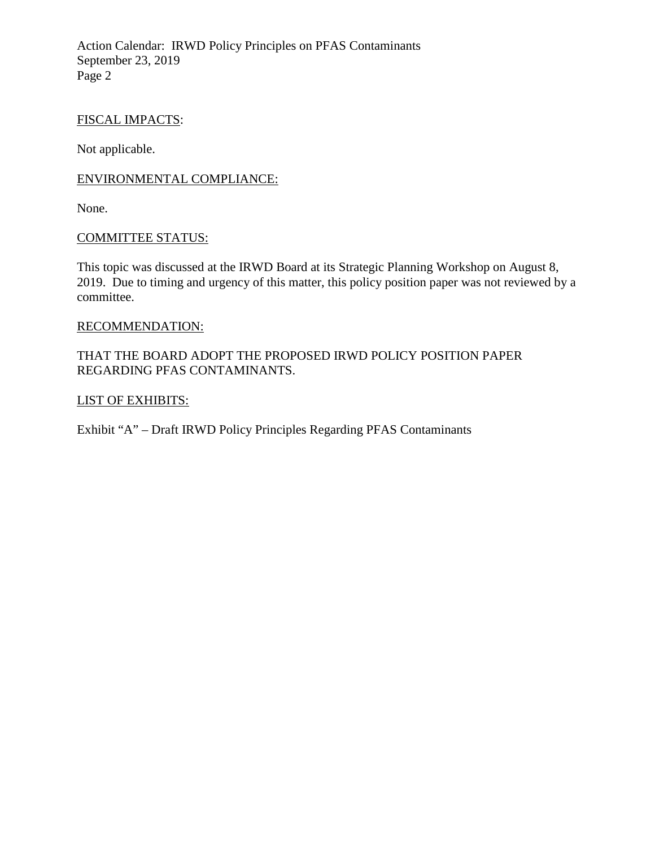Action Calendar: IRWD Policy Principles on PFAS Contaminants September 23, 2019 Page 2

### FISCAL IMPACTS:

Not applicable.

### ENVIRONMENTAL COMPLIANCE:

None.

#### COMMITTEE STATUS:

This topic was discussed at the IRWD Board at its Strategic Planning Workshop on August 8, 2019. Due to timing and urgency of this matter, this policy position paper was not reviewed by a committee.

#### RECOMMENDATION:

# THAT THE BOARD ADOPT THE PROPOSED IRWD POLICY POSITION PAPER REGARDING PFAS CONTAMINANTS.

### LIST OF EXHIBITS:

Exhibit "A" – Draft IRWD Policy Principles Regarding PFAS Contaminants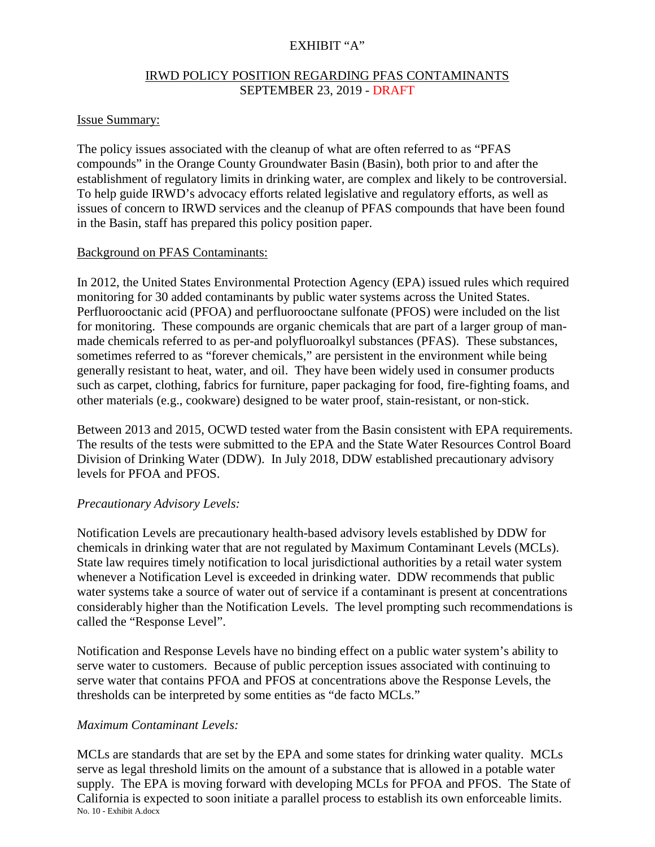# EXHIBIT "A"

# IRWD POLICY POSITION REGARDING PFAS CONTAMINANTS SEPTEMBER 23, 2019 - DRAFT

## Issue Summary:

The policy issues associated with the cleanup of what are often referred to as "PFAS compounds" in the Orange County Groundwater Basin (Basin), both prior to and after the establishment of regulatory limits in drinking water, are complex and likely to be controversial. To help guide IRWD's advocacy efforts related legislative and regulatory efforts, as well as issues of concern to IRWD services and the cleanup of PFAS compounds that have been found in the Basin, staff has prepared this policy position paper.

### Background on PFAS Contaminants:

In 2012, the United States Environmental Protection Agency (EPA) issued rules which required monitoring for 30 added contaminants by public water systems across the United States. Perfluorooctanic acid (PFOA) and perfluorooctane sulfonate (PFOS) were included on the list for monitoring. These compounds are organic chemicals that are part of a larger group of manmade chemicals referred to as per-and polyfluoroalkyl substances (PFAS). These substances, sometimes referred to as "forever chemicals," are persistent in the environment while being generally resistant to heat, water, and oil. They have been widely used in consumer products such as carpet, clothing, fabrics for furniture, paper packaging for food, fire-fighting foams, and other materials (e.g., cookware) designed to be water proof, stain-resistant, or non-stick.

Between 2013 and 2015, OCWD tested water from the Basin consistent with EPA requirements. The results of the tests were submitted to the EPA and the State Water Resources Control Board Division of Drinking Water (DDW). In July 2018, DDW established precautionary advisory levels for PFOA and PFOS.

# *Precautionary Advisory Levels:*

Notification Levels are precautionary health-based advisory levels established by DDW for chemicals in drinking water that are not regulated by Maximum Contaminant Levels (MCLs). State law requires timely notification to local jurisdictional authorities by a retail water system whenever a Notification Level is exceeded in drinking water. DDW recommends that public water systems take a source of water out of service if a contaminant is present at concentrations considerably higher than the Notification Levels. The level prompting such recommendations is called the "Response Level".

Notification and Response Levels have no binding effect on a public water system's ability to serve water to customers. Because of public perception issues associated with continuing to serve water that contains PFOA and PFOS at concentrations above the Response Levels, the thresholds can be interpreted by some entities as "de facto MCLs."

# *Maximum Contaminant Levels:*

No. 10 - Exhibit A.docx MCLs are standards that are set by the EPA and some states for drinking water quality. MCLs serve as legal threshold limits on the amount of a substance that is allowed in a potable water supply. The EPA is moving forward with developing MCLs for PFOA and PFOS. The State of California is expected to soon initiate a parallel process to establish its own enforceable limits.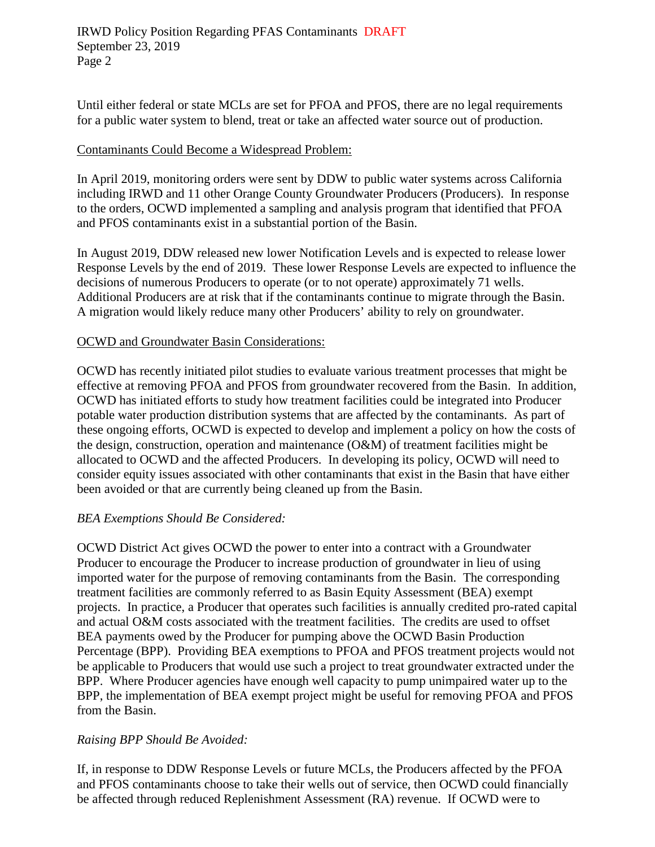Until either federal or state MCLs are set for PFOA and PFOS, there are no legal requirements for a public water system to blend, treat or take an affected water source out of production.

## Contaminants Could Become a Widespread Problem:

In April 2019, monitoring orders were sent by DDW to public water systems across California including IRWD and 11 other Orange County Groundwater Producers (Producers). In response to the orders, OCWD implemented a sampling and analysis program that identified that PFOA and PFOS contaminants exist in a substantial portion of the Basin.

In August 2019, DDW released new lower Notification Levels and is expected to release lower Response Levels by the end of 2019. These lower Response Levels are expected to influence the decisions of numerous Producers to operate (or to not operate) approximately 71 wells. Additional Producers are at risk that if the contaminants continue to migrate through the Basin. A migration would likely reduce many other Producers' ability to rely on groundwater.

## OCWD and Groundwater Basin Considerations:

OCWD has recently initiated pilot studies to evaluate various treatment processes that might be effective at removing PFOA and PFOS from groundwater recovered from the Basin. In addition, OCWD has initiated efforts to study how treatment facilities could be integrated into Producer potable water production distribution systems that are affected by the contaminants. As part of these ongoing efforts, OCWD is expected to develop and implement a policy on how the costs of the design, construction, operation and maintenance (O&M) of treatment facilities might be allocated to OCWD and the affected Producers. In developing its policy, OCWD will need to consider equity issues associated with other contaminants that exist in the Basin that have either been avoided or that are currently being cleaned up from the Basin.

# *BEA Exemptions Should Be Considered:*

OCWD District Act gives OCWD the power to enter into a contract with a Groundwater Producer to encourage the Producer to increase production of groundwater in lieu of using imported water for the purpose of removing contaminants from the Basin. The corresponding treatment facilities are commonly referred to as Basin Equity Assessment (BEA) exempt projects. In practice, a Producer that operates such facilities is annually credited pro-rated capital and actual O&M costs associated with the treatment facilities. The credits are used to offset BEA payments owed by the Producer for pumping above the OCWD Basin Production Percentage (BPP). Providing BEA exemptions to PFOA and PFOS treatment projects would not be applicable to Producers that would use such a project to treat groundwater extracted under the BPP. Where Producer agencies have enough well capacity to pump unimpaired water up to the BPP, the implementation of BEA exempt project might be useful for removing PFOA and PFOS from the Basin.

### *Raising BPP Should Be Avoided:*

If, in response to DDW Response Levels or future MCLs, the Producers affected by the PFOA and PFOS contaminants choose to take their wells out of service, then OCWD could financially be affected through reduced Replenishment Assessment (RA) revenue. If OCWD were to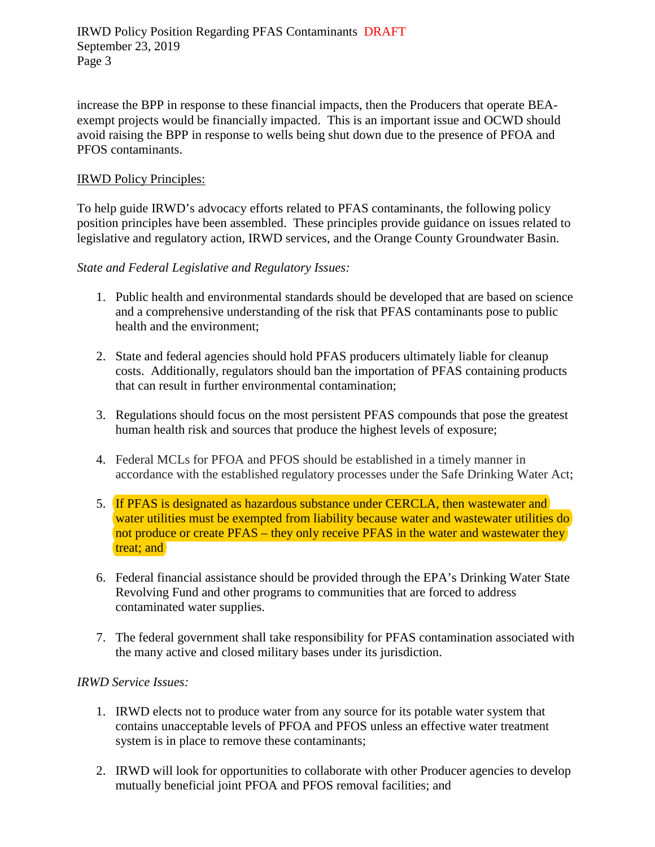increase the BPP in response to these financial impacts, then the Producers that operate BEAexempt projects would be financially impacted. This is an important issue and OCWD should avoid raising the BPP in response to wells being shut down due to the presence of PFOA and PFOS contaminants.

## IRWD Policy Principles:

To help guide IRWD's advocacy efforts related to PFAS contaminants, the following policy position principles have been assembled. These principles provide guidance on issues related to legislative and regulatory action, IRWD services, and the Orange County Groundwater Basin.

## *State and Federal Legislative and Regulatory Issues:*

- 1. Public health and environmental standards should be developed that are based on science and a comprehensive understanding of the risk that PFAS contaminants pose to public health and the environment;
- 2. State and federal agencies should hold PFAS producers ultimately liable for cleanup costs. Additionally, regulators should ban the importation of PFAS containing products that can result in further environmental contamination;
- 3. Regulations should focus on the most persistent PFAS compounds that pose the greatest human health risk and sources that produce the highest levels of exposure;
- 4. Federal MCLs for PFOA and PFOS should be established in a timely manner in accordance with the established regulatory processes under the Safe Drinking Water Act;
- 5. If PFAS is designated as hazardous substance under CERCLA, then wastewater and water utilities must be exempted from liability because water and wastewater utilities do not produce or create PFAS – they only receive PFAS in the water and wastewater they treat; and
- 6. Federal financial assistance should be provided through the EPA's Drinking Water State Revolving Fund and other programs to communities that are forced to address contaminated water supplies.
- 7. The federal government shall take responsibility for PFAS contamination associated with the many active and closed military bases under its jurisdiction.

### *IRWD Service Issues:*

- 1. IRWD elects not to produce water from any source for its potable water system that contains unacceptable levels of PFOA and PFOS unless an effective water treatment system is in place to remove these contaminants;
- 2. IRWD will look for opportunities to collaborate with other Producer agencies to develop mutually beneficial joint PFOA and PFOS removal facilities; and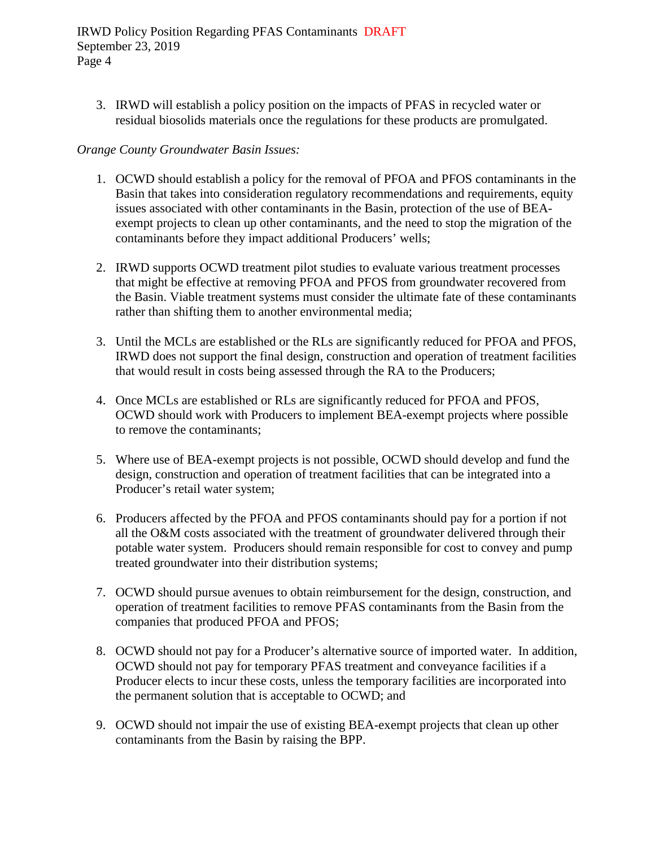IRWD Policy Position Regarding PFAS Contaminants DRAFT September 23, 2019 Page 4

3. IRWD will establish a policy position on the impacts of PFAS in recycled water or residual biosolids materials once the regulations for these products are promulgated.

## *Orange County Groundwater Basin Issues:*

- 1. OCWD should establish a policy for the removal of PFOA and PFOS contaminants in the Basin that takes into consideration regulatory recommendations and requirements, equity issues associated with other contaminants in the Basin, protection of the use of BEAexempt projects to clean up other contaminants, and the need to stop the migration of the contaminants before they impact additional Producers' wells;
- 2. IRWD supports OCWD treatment pilot studies to evaluate various treatment processes that might be effective at removing PFOA and PFOS from groundwater recovered from the Basin. Viable treatment systems must consider the ultimate fate of these contaminants rather than shifting them to another environmental media;
- 3. Until the MCLs are established or the RLs are significantly reduced for PFOA and PFOS, IRWD does not support the final design, construction and operation of treatment facilities that would result in costs being assessed through the RA to the Producers;
- 4. Once MCLs are established or RLs are significantly reduced for PFOA and PFOS, OCWD should work with Producers to implement BEA-exempt projects where possible to remove the contaminants;
- 5. Where use of BEA-exempt projects is not possible, OCWD should develop and fund the design, construction and operation of treatment facilities that can be integrated into a Producer's retail water system;
- 6. Producers affected by the PFOA and PFOS contaminants should pay for a portion if not all the O&M costs associated with the treatment of groundwater delivered through their potable water system. Producers should remain responsible for cost to convey and pump treated groundwater into their distribution systems;
- 7. OCWD should pursue avenues to obtain reimbursement for the design, construction, and operation of treatment facilities to remove PFAS contaminants from the Basin from the companies that produced PFOA and PFOS;
- 8. OCWD should not pay for a Producer's alternative source of imported water. In addition, OCWD should not pay for temporary PFAS treatment and conveyance facilities if a Producer elects to incur these costs, unless the temporary facilities are incorporated into the permanent solution that is acceptable to OCWD; and
- 9. OCWD should not impair the use of existing BEA-exempt projects that clean up other contaminants from the Basin by raising the BPP.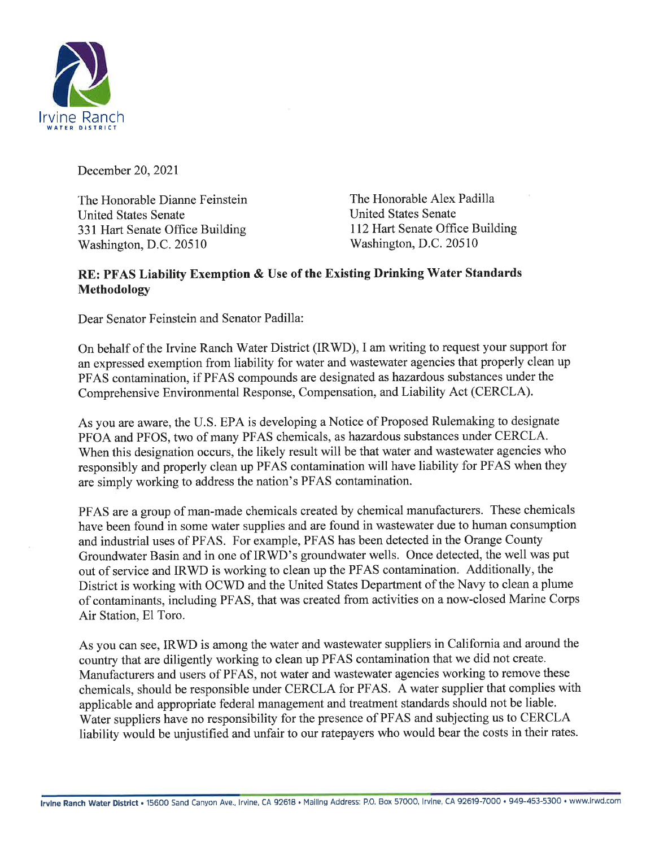

December 20,202I

The Honorable Dianne Feinstein United States Senate 331 Hart Senate Office Building Washington, D.C. 20510

The Honorable Alex Padilla United States Senate 112 Hart Senate Office Building Washington, D.C. 20510

# RE: PFAS Liability Exemption & Use of the Existing Drinking Water Standards Methodology

Dear Senator Feinstein and Senator Padilla:

On behalf of the Irvine Ranch Water District (IRWD), I am writing to request your support for an expressed exemption from liability for water and wastewater agencies that properly clean up PFAS contamination, if PFAS compounds are designated as hazardous substances under the Comprehensive Environmental Response, Compensation, and Liability Act (CERCLA).

As you are aware, the U.S. EPA is developing a Notice of Proposed Rulemaking to designate PFOA and PFOS, two of many PFAS chemicals, as hazardous substances under CERCLA. When this designation occurs, the likely result will be that water and wastewater agencies who responsibly and properly clean up PFAS contamination will have liability for PFAS when they are simply working to address the nation's PFAS contamination.

PFAS are a group of man-made chemicals created by chemical manufacturers. These chemicals have been found in some water supplies and are found in wastewater due to human consumption and industrial uses of PFAS. For example, PFAS has been detected in the Orange County Groundwater Basin and in one of IRWD's groundwater wells. Once detected, the well was put out of service and IRWD is working to clean up the PFAS contamination. Additionally, the District is working with OCWD and the United States Department of the Navy to clean a plume of contaminants, including PFAS, that was created from activities on a now-closed Marine Corps Air Station, El Toro.

As you can see, IRWD is among the water and wastewater suppliers in California and around the country that are diligently working to clean up PFAS contamination that we did not create. Manufacturers and users of PFAS, not water and wastewater agencies working to remove these chemicals, should be responsible under CERCLA for PFAS. A water supplier that complies with applicable and appropriate federal management and treatment standards should not be liable. Water suppliers have no responsibility for the presence of PFAS and subjecting us to CERCLA liability would be unjustified and unfair to our ratepayers who would bear the costs in their rates.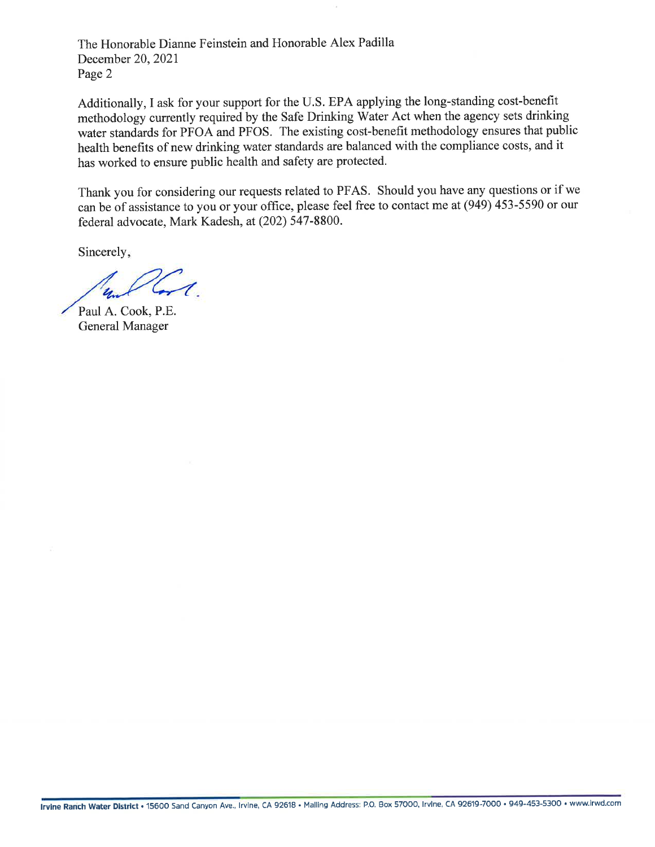The Honorable Dianne Feinstein and Honorable Alex Padilla December 20,202I Page 2

Additionally, I ask for your support for the U.S. EPA applying the long-standing cost-benefit methodology currently required by the Safe Drinking Water Act when the agency sets drinking water standards for PFOA and PFOS. The existing cost-benefit methodology ensures that public health benefits of new drinking water standards are balanced with the compliance costs, and it has worked to ensure public health and safety are protected.

Thank you for considering our requests related to PFAS. Should you have any questions or if we can be of assistance to you or your office, please feel free to contact me at (949) 453-5590 or our federal advocate, Mark Kadesh, at (202) 547-8800.

Sincerely,

Lis

Paul A. Cook, P.E. General Manager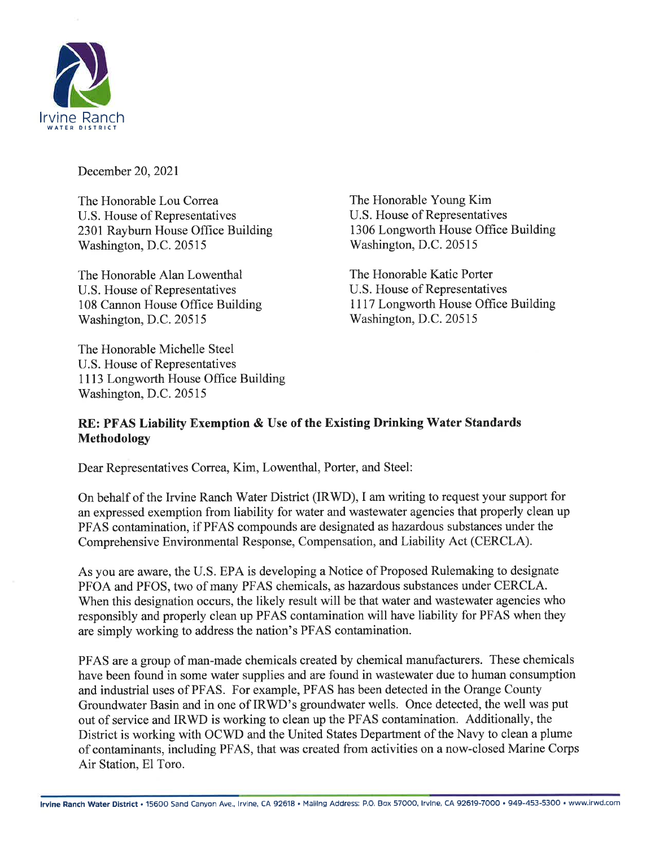

December 20,2021

The Honorable Lou Correa U.S. House of Representatives 2301 Rayburn House Office Building Washington, D.C. 20515

The Honorable Alan Lowenthal U.S. House of Representatives 108 Cannon House Office Building Washington, D.C. 20515

The Honorable Michelle Steel U.S. House of Representatives 1113 Longworth House Office Building Washington, D.C. 20515

The Honorable Young Kim U.S. House of Representatives 1306 Longworth House Office Building Washington, D.C. 20515

The Honorable Katie Porter U.S. House of Representatives 1117 Longworth House Office Building Washington, D.C. 20515

# RE: PFAS Liability Exemption & Use of the Existing Drinking Water Standards Methodology

Dear Representatives Correa, Kim, Lowenthal, Porter, and Steel:

On behalf of the Irvine Ranch Water District (IRWD), I am writing to request your support for an expressed exemption from liability for water and wastewater agencies that properly clean up PFAS contamination, if PFAS compounds are designated as hazardous substances under the Comprehensive Environmental Response, Compensation, and Liability Act (CERCLA).

As you are aware, the U.S. EPA is developing a Notice of Proposed Rulemaking to designate PFOA and PFOS, two of many PFAS chemicals, as hazardous substances under CERCLA. When this designation occurs, the likely result will be that water and wastewater agencies who responsibly and properly clean up PFAS contamination will have liability for PFAS when they are simply working to address the nation's PFAS contamination.

PFAS are a group of man-made chemicals created by chemical manufacturers. These chemicals have been found in some water supplies and are found in wastewater due to human consumption and industrial uses of PFAS. For example, PFAS has been detected in the Orange County Groundwater Basin and in one of IRWD's groundwater wells. Once detected, the well was put out of service and IRWD is working to clean up the PFAS contamination. Additionally, the District is working with OCWD and the United States Department of the Navy to clean a plume of contaminants, including PFAS, that was created from activities on a now-closed Marine Corps Air Station, El Toro.